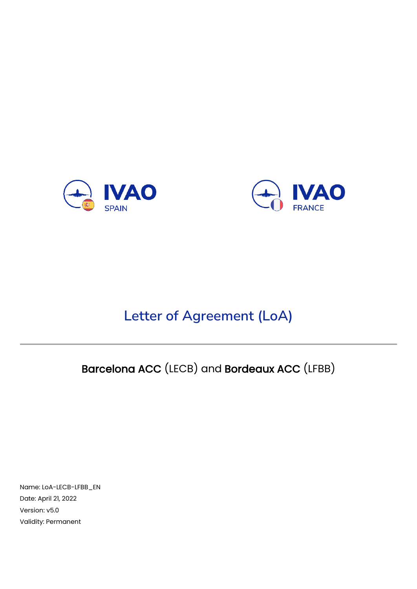



# **Letter of Agreement (LoA)**

# Barcelona ACC (LECB) and Bordeaux ACC (LFBB)

Name: LoA-LECB-LFBB\_EN Date: April 21, 2022 Version: v5.0 Validity: Permanent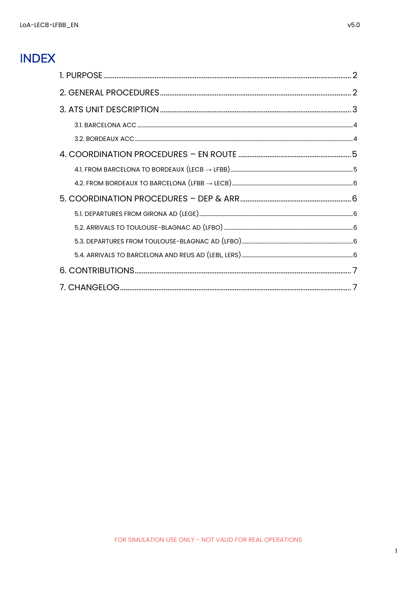## **INDEX**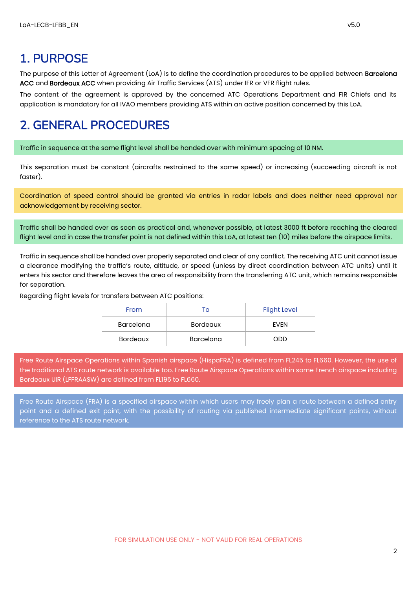### <span id="page-2-0"></span>1. PURPOSE

The purpose of this Letter of Agreement (LoA) is to define the coordination procedures to be applied between **Barcelona** ACC and Bordeaux ACC when providing Air Traffic Services (ATS) under IFR or VFR flight rules.

The content of the agreement is approved by the concerned ATC Operations Department and FIR Chiefs and its application is mandatory for all IVAO members providing ATS within an active position concerned by this LoA.

### <span id="page-2-1"></span>2. GENERAL PROCEDURES

Traffic in sequence at the same flight level shall be handed over with minimum spacing of 10 NM.

This separation must be constant (aircrafts restrained to the same speed) or increasing (succeeding aircraft is not faster).

Coordination of speed control should be granted via entries in radar labels and does neither need approval nor acknowledgement by receiving sector.

Traffic shall be handed over as soon as practical and, whenever possible, at latest 3000 ft before reaching the cleared flight level and in case the transfer point is not defined within this LoA, at latest ten (10) miles before the airspace limits.

Traffic in sequence shall be handed over properly separated and clear of any conflict. The receiving ATC unit cannot issue a clearance modifying the traffic's route, altitude, or speed (unless by direct coordination between ATC units) until it enters his sector and therefore leaves the area of responsibility from the transferring ATC unit, which remains responsible for separation.

Regarding flight levels for transfers between ATC positions:

| From            | To               | <b>Flight Level</b> |
|-----------------|------------------|---------------------|
| Barcelona       | <b>Bordeaux</b>  | <b>FVFN</b>         |
| <b>Bordeaux</b> | <b>Barcelona</b> | NUV                 |

Free Route Airspace Operations within Spanish airspace (HispaFRA) is defined from FL245 to FL660. However, the use of the traditional ATS route network is available too. Free Route Airspace Operations within some French airspace including Bordeaux UIR (LFFRAASW) are defined from FL195 to FL660.

Free Route Airspace (FRA) is a specified airspace within which users may freely plan a route between a defined entry point and a defined exit point, with the possibility of routing via published intermediate significant points, without reference to the ATS route network.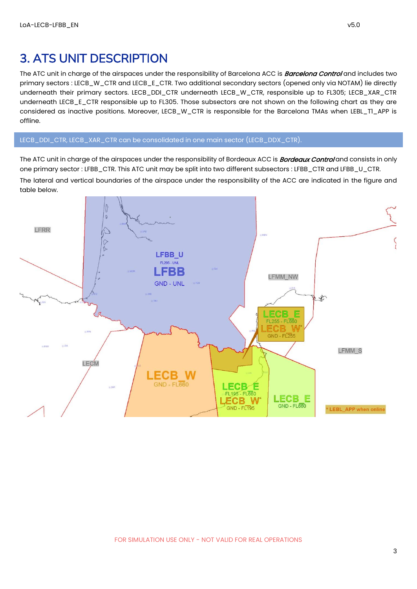#### <span id="page-3-0"></span>3. ATS UNIT DESCRIPTION

The ATC unit in charge of the airspaces under the responsibility of Barcelona ACC is **Barcelona Control** and includes two primary sectors : LECB\_W\_CTR and LECB\_E\_CTR. Two additional secondary sectors (opened only via NOTAM) lie directly underneath their primary sectors. LECB\_DDI\_CTR underneath LECB\_W\_CTR, responsible up to FL305; LECB\_XAR\_CTR underneath LECB\_E\_CTR responsible up to FL305. Those subsectors are not shown on the following chart as they are considered as inactive positions. Moreover, LECB\_W\_CTR is responsible for the Barcelona TMAs when LEBL\_T1\_APP is offline.

#### LECB\_DDI\_CTR, LECB\_XAR\_CTR can be consolidated in one main sector (LECB\_DDX\_CTR).

The ATC unit in charge of the airspaces under the responsibility of Bordeaux ACC is **Bordeaux Control** and consists in only one primary sector : LFBB\_CTR. This ATC unit may be split into two different subsectors : LFBB\_CTR and LFBB\_U\_CTR.

The lateral and vertical boundaries of the airspace under the responsibility of the ACC are indicated in the figure and table below.

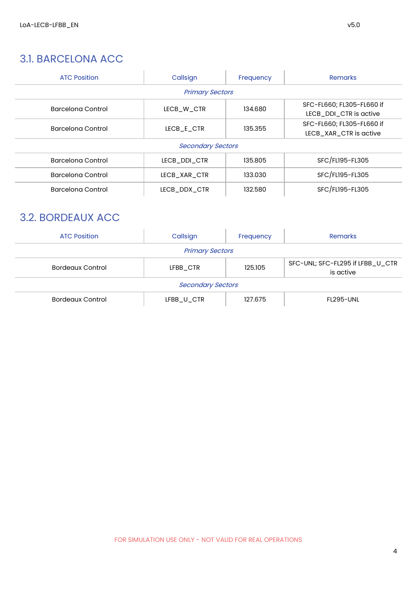#### <span id="page-4-0"></span>3.1. BARCELONA ACC

| <b>ATC Position</b> | Callsign                 | Frequency | <b>Remarks</b>                                      |
|---------------------|--------------------------|-----------|-----------------------------------------------------|
|                     | <b>Primary Sectors</b>   |           |                                                     |
| Barcelona Control   | LECB W CTR               | 134.680   | SFC-FL660; FL305-FL660 if<br>LECB DDI CTR is active |
| Barcelona Control   | LECB E CTR               | 135.355   | SFC-FL660; FL305-FL660 if<br>LECB_XAR_CTR is active |
|                     | <b>Secondary Sectors</b> |           |                                                     |
| Barcelona Control   | LECB DDI CTR             | 135.805   | SFC/FL195-FL305                                     |
| Barcelona Control   | LECB XAR CTR             | 133.030   | SFC/FL195-FL305                                     |
| Barcelona Control   | LECB DDX CTR             | 132.580   | SFC/FL195-FL305                                     |

#### <span id="page-4-1"></span>3.2. BORDEAUX ACC

| <b>ATC Position</b>      | Callsign               | Frequency | <b>Remarks</b>                                |
|--------------------------|------------------------|-----------|-----------------------------------------------|
|                          | <b>Primary Sectors</b> |           |                                               |
| <b>Bordeaux Control</b>  | LFBB CTR               | 125.105   | SFC-UNL; SFC-FL295 if LFBB_U_CTR<br>is active |
| <b>Secondary Sectors</b> |                        |           |                                               |
| <b>Bordeaux Control</b>  | LFBB_U_CTR             | 127.675   | <b>FL295-UNL</b>                              |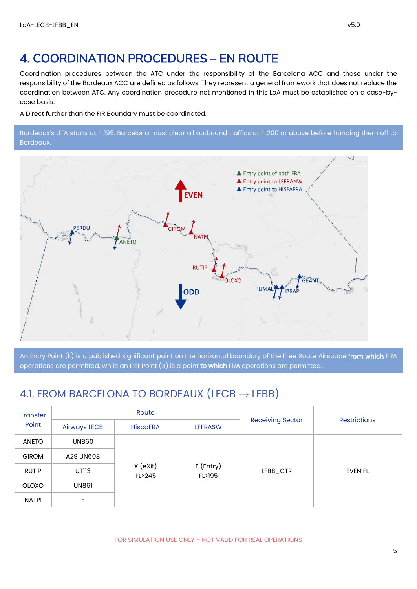## <span id="page-5-0"></span>4. COORDINATION PROCEDURES – EN ROUTE

Coordination procedures between the ATC under the responsibility of the Barcelona ACC and those under the responsibility of the Bordeaux ACC are defined as follows. They represent a general framework that does not replace the coordination between ATC. Any coordination procedure not mentioned in this LoA must be established on a case-bycase basis.

A Direct further than the FIR Boundary must be coordinated.

Bordeaux's UTA starts at FL195. Barcelona must clear all outbound traffics at FL200 or above before handing them off to Bordeaux.



An Entry Point (E) is a published significant point on the horizontal boundary of the Free Route Airspace from which FRA operations are permitted, while an Exit Point  $(X)$  is a point to which FRA operations are permitted.

#### <span id="page-5-1"></span>4.1. FROM BARCELONA TO BORDEAUX  $(LECB \rightarrow LFBB)$

| <b>Transfer</b> |                     | Route                                       |                | <b>Receiving Sector</b><br><b>Restrictions</b> |         |  |
|-----------------|---------------------|---------------------------------------------|----------------|------------------------------------------------|---------|--|
| Point           | <b>Airways LECB</b> | <b>HispaFRA</b>                             | <b>LFFRASW</b> |                                                |         |  |
| <b>ANETO</b>    | <b>UN860</b>        |                                             |                |                                                |         |  |
| <b>GIROM</b>    | A29 UN608           |                                             |                |                                                |         |  |
| <b>RUTIP</b>    | UTII3               | X (eXit)<br>$E$ (Entry)<br>FL>245<br>FL>195 |                | LFBB_CTR                                       | EVEN FL |  |
| <b>OLOXO</b>    | <b>UN861</b>        |                                             |                |                                                |         |  |
| <b>NATPI</b>    | ۰                   |                                             |                |                                                |         |  |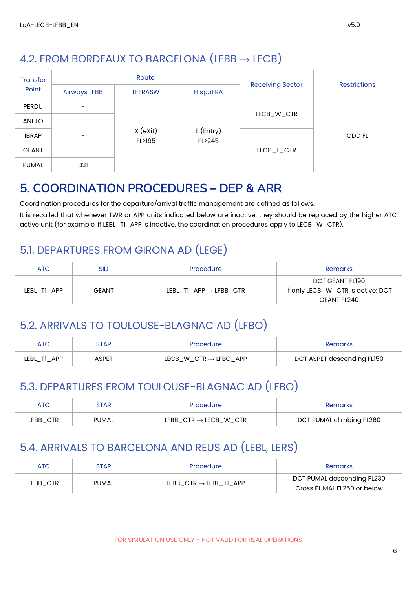<span id="page-6-0"></span>

| <b>Transfer</b> |                          | Route              |                       |                         | <b>Restrictions</b> |
|-----------------|--------------------------|--------------------|-----------------------|-------------------------|---------------------|
| Point           | <b>Airways LFBB</b>      | <b>LFFRASW</b>     | <b>HispaFRA</b>       | <b>Receiving Sector</b> |                     |
| PERDU           | $\overline{\phantom{0}}$ |                    |                       |                         |                     |
| <b>ANETO</b>    |                          |                    |                       | LECB_W_CTR              |                     |
| <b>IBRAP</b>    | $\overline{\phantom{0}}$ | X (eXit)<br>FL>195 | $E$ (Entry)<br>FL>245 |                         | <b>ODD FL</b>       |
| <b>GEANT</b>    |                          |                    |                       | LECB_E_CTR              |                     |
| <b>PUMAL</b>    | <b>B31</b>               |                    |                       |                         |                     |

## <span id="page-6-1"></span>5. COORDINATION PROCEDURES – DEP & ARR

Coordination procedures for the departure/arrival traffic management are defined as follows.

It is recalled that whenever TWR or APP units indicated below are inactive, they should be replaced by the higher ATC active unit (for example, if LEBL\_T1\_APP is inactive, the coordination procedures apply to LECB\_W\_CTR).

#### <span id="page-6-2"></span>5.1. DEPARTURES FROM GIRONA AD (LEGE)

| ATC         | <b>SID</b>   | Procedure                          | Remarks                                                             |
|-------------|--------------|------------------------------------|---------------------------------------------------------------------|
| LEBL_TI_APP | <b>GEANT</b> | LEBL TI APP $\rightarrow$ LFBB CTR | DCT GEANT FL190<br>If only LECB_W_CTR is active: DCT<br>GEANT FL240 |

#### <span id="page-6-3"></span>5.2. ARRIVALS TO TOULOUSE-BLAGNAC AD (LFBO)

|             | STAR        | Procedure                         | Remarks                    |
|-------------|-------------|-----------------------------------|----------------------------|
| LEBL_T1_APP | <b>SPET</b> | $LECB_W_CTR \rightarrow LFBO_APP$ | DCT ASPET descending FL150 |

#### <span id="page-6-4"></span>5.3. DEPARTURES FROM TOULOUSE-BLAGNAC AD (LFBO)

| ATC      | 3TAR.        | <b>Procedure</b>                  | Remarks                  |
|----------|--------------|-----------------------------------|--------------------------|
| LFBB_CTR | <b>PUMAL</b> | $LFBB_CTR \rightarrow LECB_W_CTR$ | DCT PUMAL climbing FL260 |

#### <span id="page-6-5"></span>5.4. ARRIVALS TO BARCELONA AND REUS AD (LEBL, LERS)

| ATC      | STAR  | Procedure                          | Remarks                                                  |
|----------|-------|------------------------------------|----------------------------------------------------------|
| LFBB CTR | PUMAL | LFBB $CTR \rightarrow LEBL$ T1 APP | DCT PUMAL descending FL230<br>Cross PUMAL FL250 or below |